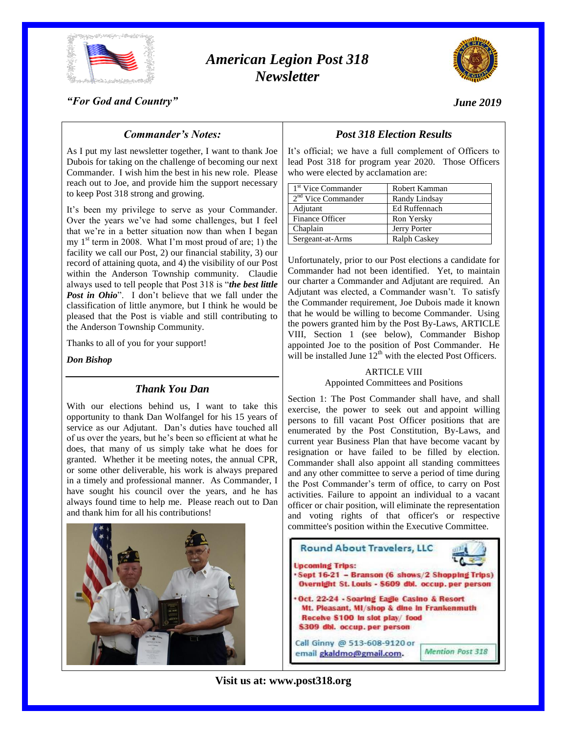

# *American Legion Post 318 Newsletter*



*"For God and Country"*

# *June 2019*

# *Commander's Notes:*

As I put my last newsletter together, I want to thank Joe Dubois for taking on the challenge of becoming our next Commander. I wish him the best in his new role. Please reach out to Joe, and provide him the support necessary to keep Post 318 strong and growing.

It's been my privilege to serve as your Commander. Over the years we've had some challenges, but I feel that we're in a better situation now than when I began my  $1<sup>st</sup>$  term in 2008. What I'm most proud of are; 1) the facility we call our Post, 2) our financial stability, 3) our record of attaining quota, and 4) the visibility of our Post within the Anderson Township community. Claudie always used to tell people that Post 318 is "*the best little Post in Ohio*". I don't believe that we fall under the classification of little anymore, but I think he would be pleased that the Post is viable and still contributing to the Anderson Township Community.

Thanks to all of you for your support!

*Don Bishop*

## *Thank You Dan*

With our elections behind us, I want to take this opportunity to thank Dan Wolfangel for his 15 years of service as our Adjutant. Dan's duties have touched all of us over the years, but he's been so efficient at what he does, that many of us simply take what he does for granted. Whether it be meeting notes, the annual CPR, or some other deliverable, his work is always prepared in a timely and professional manner. As Commander, I have sought his council over the years, and he has always found time to help me. Please reach out to Dan and thank him for all his contributions!



# *Post 318 Election Results*

It's official; we have a full complement of Officers to lead Post 318 for program year 2020. Those Officers who were elected by acclamation are:

| 1 <sup>st</sup> Vice Commander | Robert Kamman |
|--------------------------------|---------------|
| $2nd$ Vice Commander           | Randy Lindsay |
| Adjutant                       | Ed Ruffennach |
| Finance Officer                | Ron Yersky    |
| Chaplain                       | Jerry Porter  |
| Sergeant-at-Arms               | Ralph Caskey  |

Unfortunately, prior to our Post elections a candidate for Commander had not been identified. Yet, to maintain our charter a Commander and Adjutant are required. An Adjutant was elected, a Commander wasn't. To satisfy the Commander requirement, Joe Dubois made it known that he would be willing to become Commander. Using the powers granted him by the Post By-Laws, ARTICLE VIII, Section 1 (see below), Commander Bishop appointed Joe to the position of Post Commander. He will be installed June  $12^{th}$  with the elected Post Officers.

#### ARTICLE VIII

Appointed Committees and Positions

Section 1: The Post Commander shall have, and shall exercise, the power to seek out and appoint willing persons to fill vacant Post Officer positions that are enumerated by the Post Constitution, By-Laws, and current year Business Plan that have become vacant by resignation or have failed to be filled by election. Commander shall also appoint all standing committees and any other committee to serve a period of time during the Post Commander's term of office, to carry on Post activities. Failure to appoint an individual to a vacant officer or chair position, will eliminate the representation and voting rights of that officer's or respective committee's position within the Executive Committee.

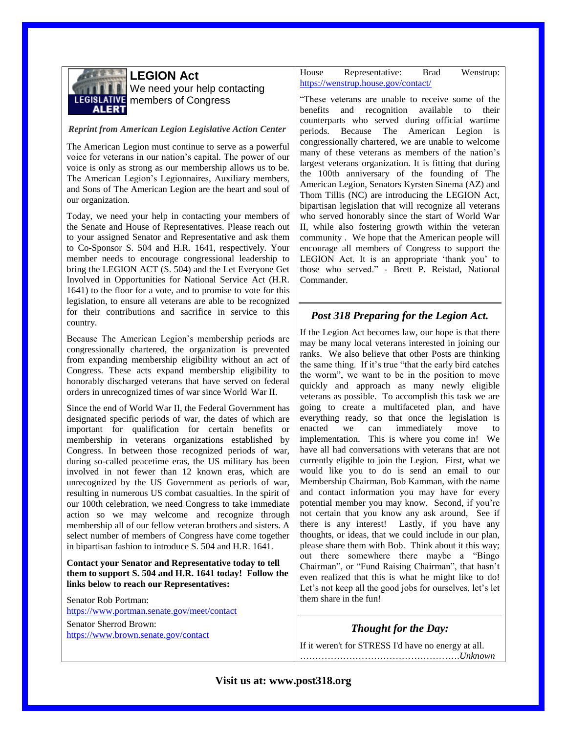

**LEGION Act** We need your help contacting **LEGISLATIVE** members of Congress

#### *Reprint from American Legion Legislative Action Center*

The American Legion must continue to serve as a powerful voice for veterans in our nation's capital. The power of our voice is only as strong as our membership allows us to be. The American Legion's Legionnaires, Auxiliary members, and Sons of The American Legion are the heart and soul of our organization.

Today, we need your help in contacting your members of the Senate and House of Representatives. Please reach out to your assigned Senator and Representative and ask them to Co-Sponsor S. 504 and H.R. 1641, respectively. Your member needs to encourage congressional leadership to bring the LEGION ACT (S. 504) and the Let Everyone Get Involved in Opportunities for National Service Act (H.R. 1641) to the floor for a vote, and to promise to vote for this legislation, to ensure all veterans are able to be recognized for their contributions and sacrifice in service to this country.

Because The American Legion's membership periods are congressionally chartered, the organization is prevented from expanding membership eligibility without an act of Congress. These acts expand membership eligibility to honorably discharged veterans that have served on federal orders in unrecognized times of war since World War II.

Since the end of World War II, the Federal Government has designated specific periods of war, the dates of which are important for qualification for certain benefits or membership in veterans organizations established by Congress. In between those recognized periods of war, during so-called peacetime eras, the US military has been involved in not fewer than 12 known eras, which are unrecognized by the US Government as periods of war, resulting in numerous US combat casualties. In the spirit of our 100th celebration, we need Congress to take immediate action so we may welcome and recognize through membership all of our fellow veteran brothers and sisters. A select number of members of Congress have come together in bipartisan fashion to introduce S. 504 and H.R. 1641.

**Contact your Senator and Representative today to tell them to support S. 504 and H.R. 1641 today! Follow the links below to reach our Representatives:**

Senator Rob Portman: <https://www.portman.senate.gov/meet/contact>

Senator Sherrod Brown: <https://www.brown.senate.gov/contact>

#### House Representative: Brad Wenstrup: <https://wenstrup.house.gov/contact/>

"These veterans are unable to receive some of the benefits and recognition available to their counterparts who served during official wartime periods. Because The American Legion is congressionally chartered, we are unable to welcome many of these veterans as members of the nation's largest veterans organization. It is fitting that during the 100th anniversary of the founding of The American Legion, Senators Kyrsten Sinema (AZ) and Thom Tillis (NC) are introducing the LEGION Act, bipartisan legislation that will recognize all veterans who served honorably since the start of World War II, while also fostering growth within the veteran community . We hope that the American people will encourage all members of Congress to support the LEGION Act. It is an appropriate 'thank you' to those who served." - Brett P. Reistad, National Commander.

## *Post 318 Preparing for the Legion Act.*

If the Legion Act becomes law, our hope is that there may be many local veterans interested in joining our ranks. We also believe that other Posts are thinking the same thing. If it's true "that the early bird catches the worm", we want to be in the position to move quickly and approach as many newly eligible veterans as possible. To accomplish this task we are going to create a multifaceted plan, and have everything ready, so that once the legislation is enacted we can immediately move to implementation. This is where you come in! We have all had conversations with veterans that are not currently eligible to join the Legion. First, what we would like you to do is send an email to our Membership Chairman, Bob Kamman, with the name and contact information you may have for every potential member you may know. Second, if you're not certain that you know any ask around, See if there is any interest! Lastly, if you have any thoughts, or ideas, that we could include in our plan, please share them with Bob. Think about it this way; out there somewhere there maybe a "Bingo Chairman", or "Fund Raising Chairman", that hasn't even realized that this is what he might like to do! Let's not keep all the good jobs for ourselves, let's let them share in the fun!

# *Thought for the Day:*

If it weren't for STRESS I'd have no energy at all. …………………………………………….*Unknown*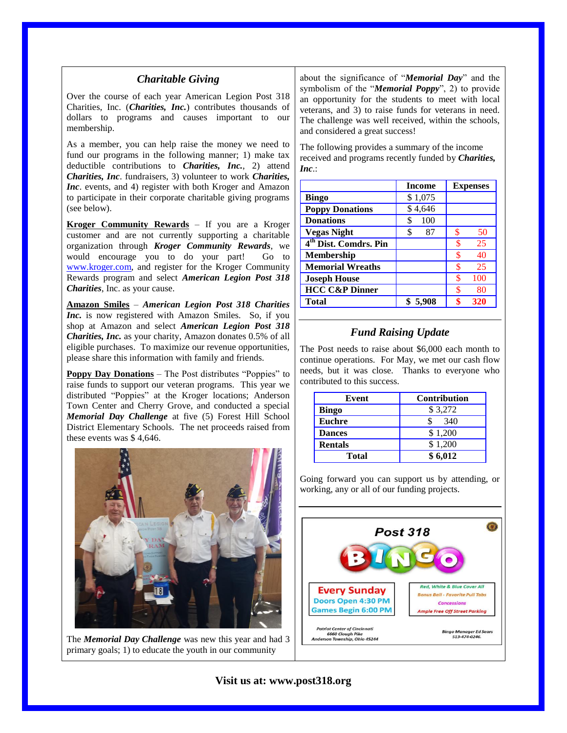#### *Charitable Giving*

Over the course of each year American Legion Post 318 Charities, Inc. (*Charities, Inc.*) contributes thousands of dollars to programs and causes important to our membership.

As a member, you can help raise the money we need to fund our programs in the following manner; 1) make tax deductible contributions to *Charities, Inc.*, 2) attend *Charities, Inc*. fundraisers, 3) volunteer to work *Charities, Inc*. events, and 4) register with both Kroger and Amazon to participate in their corporate charitable giving programs (see below).

**Kroger Community Rewards** – If you are a Kroger customer and are not currently supporting a charitable organization through *Kroger Community Rewards*, we would encourage you to do your part! Go to [www.kroger.com,](http://www.kroger.com/) and register for the Kroger Community Rewards program and select *American Legion Post 318 Charities*, Inc. as your cause.

**Amazon Smiles** – *American Legion Post 318 Charities Inc.* is now registered with Amazon Smiles. So, if you shop at Amazon and select *American Legion Post 318 Charities, Inc.* as your charity, Amazon donates 0.5% of all eligible purchases. To maximize our revenue opportunities, please share this information with family and friends.

**Poppy Day Donations** – The Post distributes "Poppies" to raise funds to support our veteran programs. This year we distributed "Poppies" at the Kroger locations; Anderson Town Center and Cherry Grove, and conducted a special *Memorial Day Challenge* at five (5) Forest Hill School District Elementary Schools. The net proceeds raised from these events was \$ 4,646.



The *Memorial Day Challenge* was new this year and had 3 primary goals; 1) to educate the youth in our community

about the significance of "*Memorial Day*" and the symbolism of the "*Memorial Poppy*", 2) to provide an opportunity for the students to meet with local veterans, and 3) to raise funds for veterans in need. The challenge was well received, within the schools, and considered a great success!

The following provides a summary of the income received and programs recently funded by *Charities, Inc*.:

|                                   | <b>Income</b> | <b>Expenses</b> |
|-----------------------------------|---------------|-----------------|
| <b>Bingo</b>                      | \$1,075       |                 |
| <b>Poppy Donations</b>            | \$4,646       |                 |
| <b>Donations</b>                  | \$<br>100     |                 |
| <b>Vegas Night</b>                | \$<br>87      | \$<br>50        |
| 4 <sup>th</sup> Dist. Comdrs. Pin |               | 25<br>\$        |
| <b>Membership</b>                 |               | \$<br>40        |
| <b>Memorial Wreaths</b>           |               | \$<br>25        |
| <b>Joseph House</b>               |               | ፍ<br>100        |
| <b>HCC C&amp;P Dinner</b>         |               | ፍ<br>80         |
| <b>Total</b>                      | \$5,908       | \$<br>320       |

## *Fund Raising Update*

The Post needs to raise about \$6,000 each month to continue operations. For May, we met our cash flow needs, but it was close. Thanks to everyone who contributed to this success.

| Event          | <b>Contribution</b> |
|----------------|---------------------|
| <b>Bingo</b>   | \$3,272             |
| <b>Euchre</b>  | 340                 |
| <b>Dances</b>  | \$1,200             |
| <b>Rentals</b> | \$1,200             |
| <b>Total</b>   | \$6,012             |

Going forward you can support us by attending, or working, any or all of our funding projects.

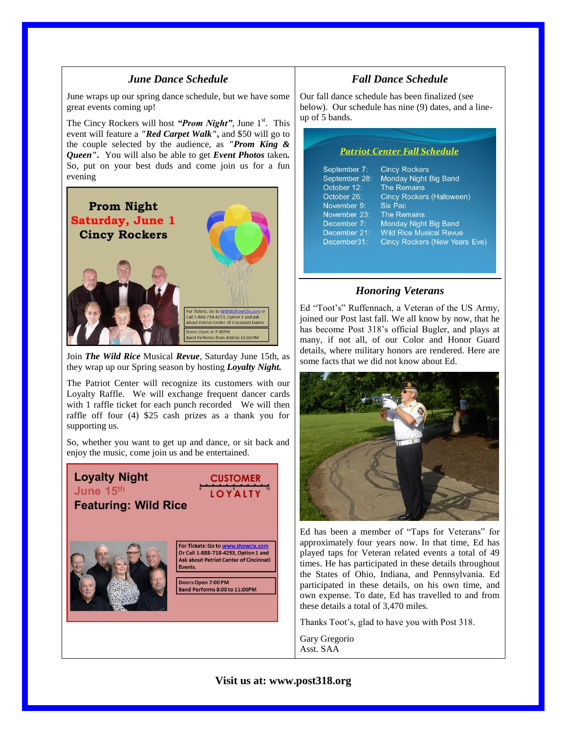#### *June Dance Schedule*

June wraps up our spring dance schedule, but we have some great events coming up!

The Cincy Rockers will host *"Prom Night"*, June 1<sup>st</sup>. This event will feature a *"Red Carpet Walk"***,** and \$50 will go to the couple selected by the audience, as *"Prom King & Queen"***.** You will also be able to get *Event Photos* taken*.*  So, put on your best duds and come join us for a fun evening



Join *The Wild Rice* Musical *Revue*, Saturday June 15th, as they wrap up our Spring season by hosting *Loyalty Night.*

The Patriot Center will recognize its customers with our Loyalty Raffle. We will exchange frequent dancer cards with 1 raffle ticket for each punch recorded We will then raffle off four (4) \$25 cash prizes as a thank you for supporting us.

So, whether you want to get up and dance, or sit back and enjoy the music, come join us and be entertained.



## *Fall Dance Schedule*

Our fall dance schedule has been finalized (see below). Our schedule has nine (9) dates, and a lineup of 5 bands.

#### **Patriot Center Fall Schedule**

| September 7:  | <b>Cincy Rockers</b>                 |
|---------------|--------------------------------------|
| September 28: | Monday Night Big Band                |
| October 12:   | <b>The Remains</b>                   |
| October 26:   | Cincy Rockers (Halloween)            |
| November 9:   | Six Pac                              |
| November 23:  | <b>The Remains</b>                   |
| December 7:   | Monday Night Big Band                |
| December 21:  | <b>Wild Rice Musical Revue</b>       |
| December31:   | <b>Cincy Rockers (New Years Eve)</b> |
|               |                                      |

#### *Honoring Veterans*

Ed "Toot's" Ruffennach, a Veteran of the US Army, joined our Post last fall. We all know by now, that he has become Post 318's official Bugler, and plays at many, if not all, of our Color and Honor Guard details, where military honors are rendered. Here are some facts that we did not know about Ed.



Ed has been a member of "Taps for Veterans" for approximately four years now. In that time, Ed has played taps for Veteran related events a total of 49 times. He has participated in these details throughout the States of Ohio, Indiana, and Pennsylvania. Ed participated in these details, on his own time, and own expense. To date, Ed has travelled to and from these details a total of 3,470 miles.

Thanks Toot's, glad to have you with Post 318.

Gary Gregorio Asst. SAA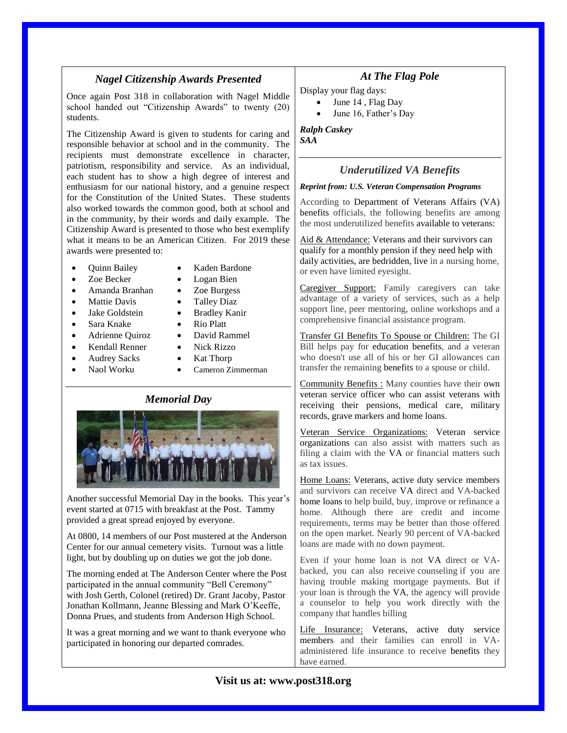# *Nagel Citizenship Awards Presented*

Once again Post 318 in collaboration with Nagel Middle school handed out "Citizenship Awards" to twenty (20) students.

The Citizenship Award is given to students for caring and responsible behavior at school and in the community. The recipients must demonstrate excellence in character, patriotism, responsibility and service. As an individual, each student has to show a high degree of interest and enthusiasm for our national history, and a genuine respect for the Constitution of the United States. These students also worked towards the common good, both at school and in the community, by their words and daily example. The Citizenship Award is presented to those who best exemplify what it means to be an American Citizen. For 2019 these awards were presented to:

- Quinn Bailey Kaden Bardone
- Zoe Becker Logan Bien
- 
- Mattie Davis Talley Diaz
- 
- 
- 
- 
- 
- 
- 
- 
- Amanda Branhan Zoe Burgess
	-
- Jake Goldstein Bradley Kanir
- Sara Knake Rio Platt
- Adrienne Quiroz David Rammel
- Kendall Renner Nick Rizzo
- Audrey Sacks Kat Thorp
	- Naol Worku Cameron Zimmerman

#### *Memorial Day*



Another successful Memorial Day in the books. This year's event started at 0715 with breakfast at the Post. Tammy provided a great spread enjoyed by everyone.

At 0800, 14 members of our Post mustered at the Anderson Center for our annual cemetery visits. Turnout was a little light, but by doubling up on duties we got the job done.

The morning ended at The Anderson Center where the Post participated in the annual community "Bell Ceremony" with Josh Gerth, Colonel (retired) Dr. Grant Jacoby, Pastor Jonathan Kollmann, Jeanne Blessing and Mark O'Keeffe, Donna Prues, and students from Anderson High School.

It was a great morning and we want to thank everyone who participated in honoring our departed comrades.

## *At The Flag Pole*

Display your flag days:

- June 14 , Flag Day
- June 16, Father's Day

*Ralph Caskey SAA*

## *Underutilized VA Benefits*

#### *Reprint from: U.S. Veteran Compensation Programs*

According to Department of Veterans Affairs (VA) benefits officials, the following benefits are among the most underutilized benefits available to veterans:

Aid & Attendance: Veterans and their survivors can qualify for a monthly pension if they need help with daily activities, are bedridden, live in a nursing home, or even have limited eyesight.

Caregiver Support: Family caregivers can take advantage of a variety of services, such as a help support line, peer mentoring, online workshops and a comprehensive financial assistance program.

Transfer GI Benefits To Spouse or Children: The GI Bill helps pay for education benefits, and a veteran who doesn't use all of his or her GI allowances can transfer the remaining benefits to a spouse or child.

Community Benefits : Many counties have their own veteran service officer who can assist veterans with receiving their pensions, medical care, military records, grave markers and home loans.

Veteran Service Organizations: [Veteran service](http://r20.rs6.net/tn.jsp?f=001yybGwea-_ZO45MbENkpRdpvRuxhyvnBbke3lfcYIo8c6hrlzCRysdqchndYe36QfUrul5FWs1d_xadzZCjlQCeyO2Lqw1m_3EuLcDsGKDh0-Djox4lDDMpc_gAmVNimGQf_meODLhS60Cj8WESshSFlvTHdNKQZcIPqrvrTqy6hNIow6RhHqAah1UeLX2AdmQQy7L4cMoH0w4hySHXzORGOPXeCrHY5uVHIUuh3ukwzl4oTUQwANYIabaKahWSc_kKYY9e_kmdlrXidr2AqW-ZuqwNeH--bl&c=o8UHMUkLqQT4GrycCZKaBbhGL3PhRW9BWICbOaAo-iabPrJKOI5Arw==&ch=QscADp5j-Z1FyifXH3ObXJKb0Ak47JxoxdEcWkoPNj0ZN4eI_jH0dA==)  [organizations](http://r20.rs6.net/tn.jsp?f=001yybGwea-_ZO45MbENkpRdpvRuxhyvnBbke3lfcYIo8c6hrlzCRysdqchndYe36QfUrul5FWs1d_xadzZCjlQCeyO2Lqw1m_3EuLcDsGKDh0-Djox4lDDMpc_gAmVNimGQf_meODLhS60Cj8WESshSFlvTHdNKQZcIPqrvrTqy6hNIow6RhHqAah1UeLX2AdmQQy7L4cMoH0w4hySHXzORGOPXeCrHY5uVHIUuh3ukwzl4oTUQwANYIabaKahWSc_kKYY9e_kmdlrXidr2AqW-ZuqwNeH--bl&c=o8UHMUkLqQT4GrycCZKaBbhGL3PhRW9BWICbOaAo-iabPrJKOI5Arw==&ch=QscADp5j-Z1FyifXH3ObXJKb0Ak47JxoxdEcWkoPNj0ZN4eI_jH0dA==) can also assist with matters such as filing a claim with the VA or financial matters such as tax issues.

Home Loans: Veterans, active duty service members and survivors can receive VA direct and VA-backed home loans to help build, buy, improve or refinance a home. Although there are credit and income requirements, terms may be better than those offered on the open market. Nearly 90 percent of VA-backed loans are made with no down payment.

Even if your home loan is not VA direct or VAbacked, you can also receive counseling if you are having trouble making mortgage payments. But if your loan is through the VA, the agency will provide a counselor to help you work directly with the company that handles billing

Life Insurance: Veterans, active duty service members and their families can enroll in VAadministered life insurance to receive benefits they have earned.